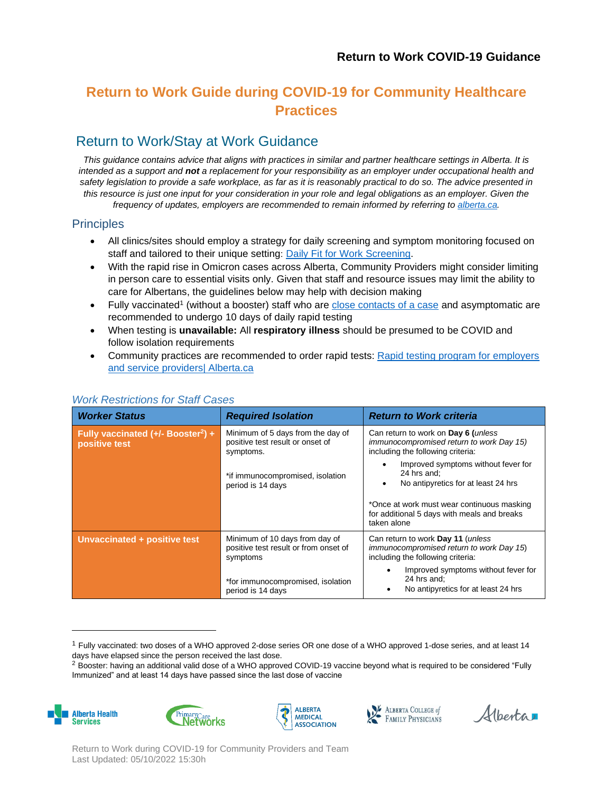# **Return to Work Guide during COVID-19 for Community Healthcare Practices**

### Return to Work/Stay at Work Guidance

*This guidance contains advice that aligns with practices in similar and partner healthcare settings in Alberta. It is intended as a support and not a replacement for your responsibility as an employer under occupational health and safety legislation to provide a safe workplace, as far as it is reasonably practical to do so. The advice presented in this resource is just one input for your consideration in your role and legal obligations as an employer. Given the frequency of updates, employers are recommended to remain informed by referring to [alberta.ca.](https://www.alberta.ca/guidance-documents.aspx)* 

### **Principles**

- All clinics/sites should employ a strategy for daily screening and symptom monitoring focused on staff and tailored to their unique setting: [Daily Fit for Work Screening.](https://www.albertahealthservices.ca/assets/info/ppih/if-ppih-covid-19-community-physicians-fit-for-work.pdf)
- With the rapid rise in Omicron cases across Alberta, Community Providers might consider limiting in person care to essential visits only. Given that staff and resource issues may limit the ability to care for Albertans, the guidelines below may help with decision making
- Fully vaccinated<sup>1</sup> (without a booster) staff who are [close contacts of a case](https://open.alberta.ca/publications/coronavirus-covid-19) and asymptomatic are recommended to undergo 10 days of daily rapid testing
- When testing is **unavailable:** All **respiratory illness** should be presumed to be COVID and follow isolation requirements
- Community practices are recommended to order rapid tests: Rapid testing program for employers [and service providers| Alberta.ca](https://www.alberta.ca/rapid-testing-program-for-employers-and-service-providers.aspx)

| <b>Worker Status</b>                                              | <b>Required Isolation</b>                                                           | <b>Return to Work criteria</b>                                                                                       |
|-------------------------------------------------------------------|-------------------------------------------------------------------------------------|----------------------------------------------------------------------------------------------------------------------|
| Fully vaccinated $(+/-$ Booster <sup>2</sup> ) +<br>positive test | Minimum of 5 days from the day of<br>positive test result or onset of<br>symptoms.  | Can return to work on Day 6 (unless<br>immunocompromised return to work Day 15)<br>including the following criteria: |
|                                                                   | *if immunocompromised, isolation<br>period is 14 days                               | Improved symptoms without fever for<br>24 hrs and:<br>No antipyretics for at least 24 hrs<br>٠                       |
|                                                                   |                                                                                     | *Once at work must wear continuous masking<br>for additional 5 days with meals and breaks<br>taken alone             |
| Unvaccinated + positive test                                      | Minimum of 10 days from day of<br>positive test result or from onset of<br>symptoms | Can return to work Day 11 (unless<br>immunocompromised return to work Day 15)<br>including the following criteria:   |
|                                                                   | *for immunocompromised, isolation<br>period is 14 days                              | Improved symptoms without fever for<br>24 hrs and;<br>No antipyretics for at least 24 hrs                            |

#### *Work Restrictions for Staff Cases*

<sup>&</sup>lt;sup>2</sup> Booster: having an additional valid dose of a WHO approved COVID-19 vaccine beyond what is required to be considered "Fully Immunized" and at least 14 days have passed since the last dose of vaccine









Alberta

Return to Work during COVID-19 for Community Providers and Team Last Updated: 05/10/2022 15:30h

<sup>1</sup> Fully vaccinated: two doses of a WHO approved 2-dose series OR one dose of a WHO approved 1-dose series, and at least 14 days have elapsed since the person received the last dose.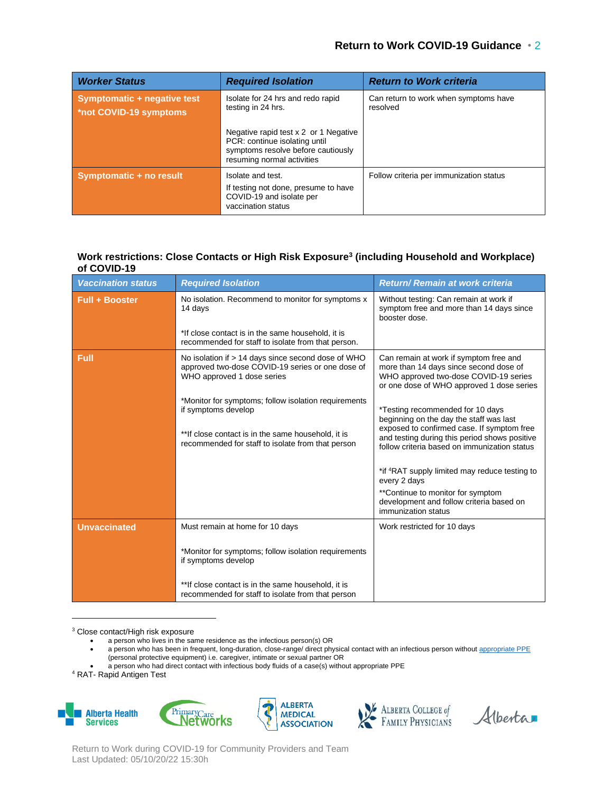| <b>Worker Status</b>                                  | <b>Required Isolation</b>                                                                                                                  | <b>Return to Work criteria</b>                    |
|-------------------------------------------------------|--------------------------------------------------------------------------------------------------------------------------------------------|---------------------------------------------------|
| Symptomatic + negative test<br>*not COVID-19 symptoms | Isolate for 24 hrs and redo rapid<br>testing in 24 hrs.                                                                                    | Can return to work when symptoms have<br>resolved |
|                                                       | Negative rapid test x 2 or 1 Negative<br>PCR: continue isolating until<br>symptoms resolve before cautiously<br>resuming normal activities |                                                   |
| Symptomatic + no result                               | Isolate and test.<br>If testing not done, presume to have<br>COVID-19 and isolate per<br>vaccination status                                | Follow criteria per immunization status           |

#### **Work restrictions: Close Contacts or High Risk Exposure<sup>3</sup> (including Household and Workplace) of COVID-19**

| <b>Vaccination status</b> | <b>Required Isolation</b>                                                                                                                                                               | <b>Return/ Remain at work criteria</b>                                                                                                                                                                                     |
|---------------------------|-----------------------------------------------------------------------------------------------------------------------------------------------------------------------------------------|----------------------------------------------------------------------------------------------------------------------------------------------------------------------------------------------------------------------------|
| <b>Full + Booster</b>     | No isolation. Recommend to monitor for symptoms x<br>14 days                                                                                                                            | Without testing: Can remain at work if<br>symptom free and more than 14 days since<br>booster dose.                                                                                                                        |
|                           | *If close contact is in the same household, it is<br>recommended for staff to isolate from that person.                                                                                 |                                                                                                                                                                                                                            |
| Full                      | No isolation if $> 14$ days since second dose of WHO<br>approved two-dose COVID-19 series or one dose of<br>WHO approved 1 dose series                                                  | Can remain at work if symptom free and<br>more than 14 days since second dose of<br>WHO approved two-dose COVID-19 series<br>or one dose of WHO approved 1 dose series                                                     |
|                           | *Monitor for symptoms; follow isolation requirements<br>if symptoms develop<br>** If close contact is in the same household, it is<br>recommended for staff to isolate from that person | *Testing recommended for 10 days<br>beginning on the day the staff was last<br>exposed to confirmed case. If symptom free<br>and testing during this period shows positive<br>follow criteria based on immunization status |
|                           |                                                                                                                                                                                         | *if <sup>4</sup> RAT supply limited may reduce testing to<br>every 2 days                                                                                                                                                  |
|                           |                                                                                                                                                                                         | **Continue to monitor for symptom<br>development and follow criteria based on<br>immunization status                                                                                                                       |
| <b>Unvaccinated</b>       | Must remain at home for 10 days                                                                                                                                                         | Work restricted for 10 days                                                                                                                                                                                                |
|                           | *Monitor for symptoms; follow isolation requirements<br>if symptoms develop                                                                                                             |                                                                                                                                                                                                                            |
|                           | ** If close contact is in the same household, it is<br>recommended for staff to isolate from that person                                                                                |                                                                                                                                                                                                                            |

<sup>3</sup> Close contact/High risk exposure

- a person who lives in the same residence as the infectious person(s) OR
- a person who has been in frequent, long-duration, close-range/ direct physical contact with an infectious person without [appropriate PPE](https://www.albertahealthservices.ca/assets/info/hp/ipc/hi-ipc-covid-19-comm-phys-ppe-pts-office.pdf) (personal protective equipment) i.e. caregiver, intimate or sexual partner OR
- a person who had direct contact with infectious body fluids of a case(s) without appropriate PPE

<sup>4</sup> RAT- Rapid Antigen Test











Return to Work during COVID-19 for Community Providers and Team Last Updated: 05/10/20/22 15:30h